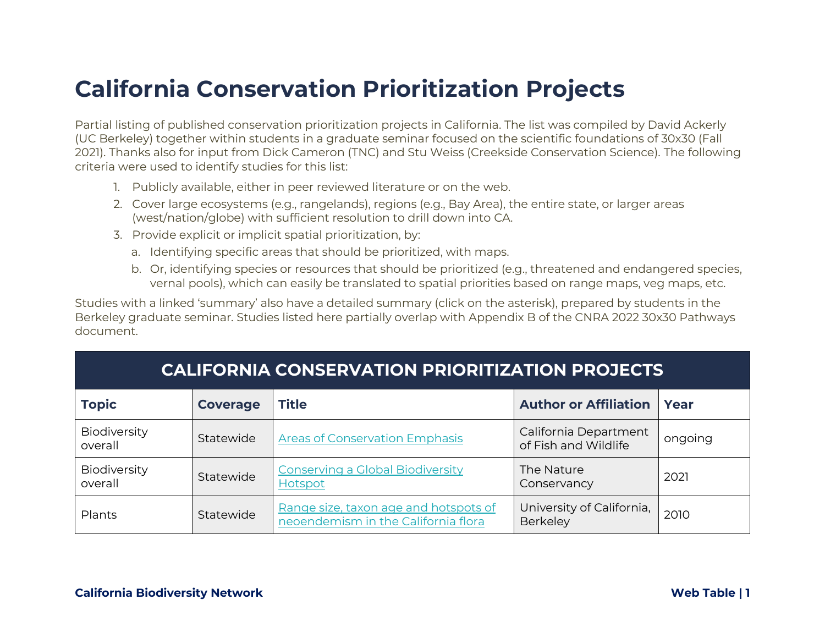## **California Conservation Prioritization Projects**

Partial listing of published conservation prioritization projects in California. The list was compiled by David Ackerly (UC Berkeley) together within students in a graduate seminar focused on the scientific foundations of 30x30 (Fall 2021). Thanks also for input from Dick Cameron (TNC) and Stu Weiss (Creekside Conservation Science). The following criteria were used to identify studies for this list:

- 1. Publicly available, either in peer reviewed literature or on the web.
- 2. Cover large ecosystems (e.g., rangelands), regions (e.g., Bay Area), the entire state, or larger areas (west/nation/globe) with sufficient resolution to drill down into CA.
- 3. Provide explicit or implicit spatial prioritization, by:
	- a. Identifying specific areas that should be prioritized, with maps.
	- b. Or, identifying species or resources that should be prioritized (e.g., threatened and endangered species, vernal pools), which can easily be translated to spatial priorities based on range maps, veg maps, etc.

Studies with a linked 'summary' also have a detailed summary (click on the asterisk), prepared by students in the Berkeley graduate seminar. Studies listed here partially overlap with Appendix B of the CNRA 2022 30x30 Pathways document.

| <b>CALIFORNIA CONSERVATION PRIORITIZATION PROJECTS</b> |                 |                                                                              |                                               |         |
|--------------------------------------------------------|-----------------|------------------------------------------------------------------------------|-----------------------------------------------|---------|
| <b>Topic</b>                                           | <b>Coverage</b> | <b>Title</b>                                                                 | <b>Author or Affiliation</b>                  | Year    |
| Biodiversity<br>overall                                | Statewide       | <b>Areas of Conservation Emphasis</b>                                        | California Department<br>of Fish and Wildlife | ongoing |
| Biodiversity<br>overall                                | Statewide       | <b>Conserving a Global Biodiversity</b><br><b>Hotspot</b>                    | The Nature<br>Conservancy                     | 2021    |
| Plants                                                 | Statewide       | Range size, taxon age and hotspots of<br>neoendemism in the California flora | University of California,<br>Berkeley         | 2010    |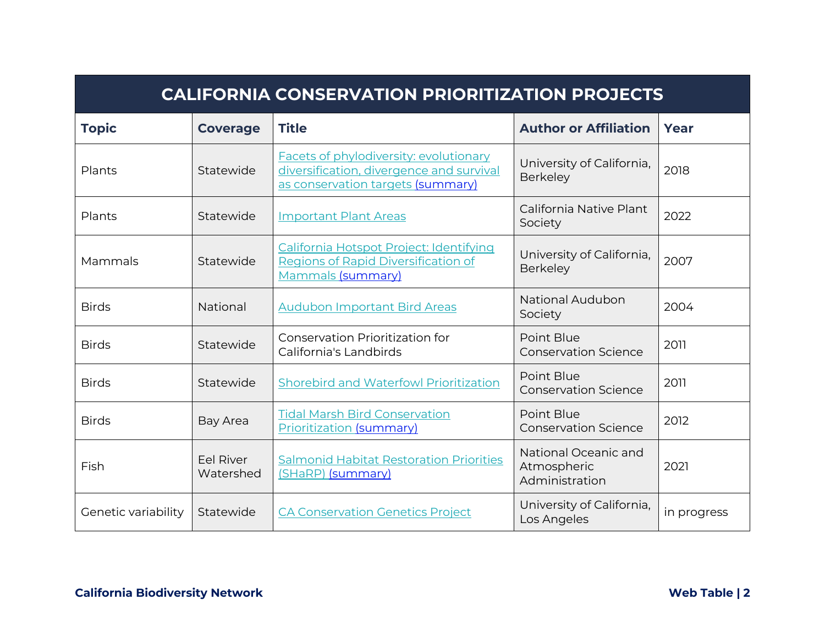| <b>CALIFORNIA CONSERVATION PRIORITIZATION PROJECTS</b> |                        |                                                                                                                         |                                                       |             |
|--------------------------------------------------------|------------------------|-------------------------------------------------------------------------------------------------------------------------|-------------------------------------------------------|-------------|
| <b>Topic</b>                                           | <b>Coverage</b>        | <b>Title</b>                                                                                                            | <b>Author or Affiliation</b>                          | Year        |
| Plants                                                 | Statewide              | Facets of phylodiversity: evolutionary<br>diversification, divergence and survival<br>as conservation targets (summary) | University of California,<br>Berkeley                 | 2018        |
| Plants                                                 | Statewide              | <b>Important Plant Areas</b>                                                                                            | California Native Plant<br>Society                    | 2022        |
| Mammals                                                | Statewide              | California Hotspot Project: Identifying<br>Regions of Rapid Diversification of<br>Mammals (summary)                     | University of California,<br>Berkeley                 | 2007        |
| <b>Birds</b>                                           | National               | <b>Audubon Important Bird Areas</b>                                                                                     | <b>National Audubon</b><br>Society                    | 2004        |
| <b>Birds</b>                                           | Statewide              | <b>Conservation Prioritization for</b><br>California's Landbirds                                                        | Point Blue<br><b>Conservation Science</b>             | 2011        |
| <b>Birds</b>                                           | Statewide              | Shorebird and Waterfowl Prioritization                                                                                  | Point Blue<br><b>Conservation Science</b>             | 2011        |
| <b>Birds</b>                                           | <b>Bay Area</b>        | <b>Tidal Marsh Bird Conservation</b><br><b>Prioritization (summary)</b>                                                 | Point Blue<br><b>Conservation Science</b>             | 2012        |
| Fish                                                   | Eel River<br>Watershed | <b>Salmonid Habitat Restoration Priorities</b><br>(SHaRP) (summary)                                                     | National Oceanic and<br>Atmospheric<br>Administration | 2021        |
| Genetic variability                                    | Statewide              | <b>CA Conservation Genetics Project</b>                                                                                 | University of California,<br>Los Angeles              | in progress |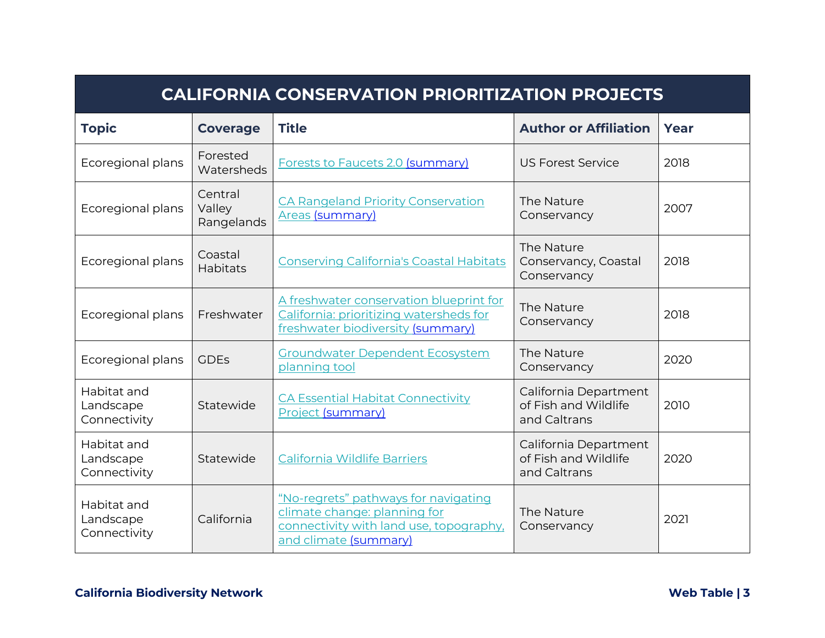| <b>CALIFORNIA CONSERVATION PRIORITIZATION PROJECTS</b> |                                 |                                                                                                                                          |                                                               |      |
|--------------------------------------------------------|---------------------------------|------------------------------------------------------------------------------------------------------------------------------------------|---------------------------------------------------------------|------|
| <b>Topic</b>                                           | <b>Coverage</b>                 | <b>Title</b>                                                                                                                             | <b>Author or Affiliation</b>                                  | Year |
| Ecoregional plans                                      | Forested<br>Watersheds          | Forests to Faucets 2.0 (summary)                                                                                                         | <b>US Forest Service</b>                                      | 2018 |
| Ecoregional plans                                      | Central<br>Valley<br>Rangelands | <b>CA Rangeland Priority Conservation</b><br><b>Areas</b> (summary)                                                                      | The Nature<br>Conservancy                                     | 2007 |
| Ecoregional plans                                      | Coastal<br>Habitats             | <b>Conserving California's Coastal Habitats</b>                                                                                          | The Nature<br>Conservancy, Coastal<br>Conservancy             | 2018 |
| Ecoregional plans                                      | Freshwater                      | A freshwater conservation blueprint for<br>California: prioritizing watersheds for<br>freshwater biodiversity (summary)                  | The Nature<br>Conservancy                                     | 2018 |
| Ecoregional plans                                      | <b>GDEs</b>                     | <b>Groundwater Dependent Ecosystem</b><br>planning tool                                                                                  | The Nature<br>Conservancy                                     | 2020 |
| Habitat and<br>Landscape<br>Connectivity               | Statewide                       | <b>CA Essential Habitat Connectivity</b><br>Project (summary)                                                                            | California Department<br>of Fish and Wildlife<br>and Caltrans | 2010 |
| Habitat and<br>Landscape<br>Connectivity               | Statewide                       | California Wildlife Barriers                                                                                                             | California Department<br>of Fish and Wildlife<br>and Caltrans | 2020 |
| Habitat and<br>Landscape<br>Connectivity               | California                      | "No-regrets" pathways for navigating<br>climate change: planning for<br>connectivity with land use, topography,<br>and climate (summary) | The Nature<br>Conservancy                                     | 2021 |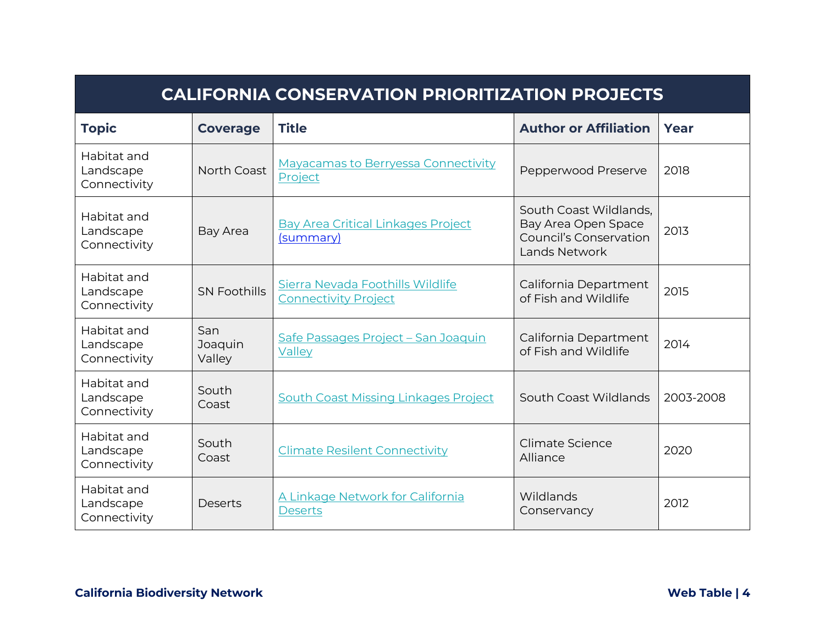| <b>CALIFORNIA CONSERVATION PRIORITIZATION PROJECTS</b> |                          |                                                                 |                                                                                                 |           |
|--------------------------------------------------------|--------------------------|-----------------------------------------------------------------|-------------------------------------------------------------------------------------------------|-----------|
| <b>Topic</b>                                           | <b>Coverage</b>          | <b>Title</b>                                                    | <b>Author or Affiliation</b>                                                                    | Year      |
| Habitat and<br>Landscape<br>Connectivity               | North Coast              | <b>Mayacamas to Berryessa Connectivity</b><br>Project           | Pepperwood Preserve                                                                             | 2018      |
| Habitat and<br>Landscape<br>Connectivity               | <b>Bay Area</b>          | <b>Bay Area Critical Linkages Project</b><br>(summary)          | South Coast Wildlands,<br>Bay Area Open Space<br><b>Council's Conservation</b><br>Lands Network | 2013      |
| Habitat and<br>Landscape<br>Connectivity               | <b>SN Foothills</b>      | Sierra Nevada Foothills Wildlife<br><b>Connectivity Project</b> | California Department<br>of Fish and Wildlife                                                   | 2015      |
| Habitat and<br>Landscape<br>Connectivity               | San<br>Joaquin<br>Valley | Safe Passages Project - San Joaquin<br>Valley                   | California Department<br>of Fish and Wildlife                                                   | 2014      |
| Habitat and<br>Landscape<br>Connectivity               | South<br>Coast           | South Coast Missing Linkages Project                            | South Coast Wildlands                                                                           | 2003-2008 |
| Habitat and<br>Landscape<br>Connectivity               | South<br>Coast           | <b>Climate Resilent Connectivity</b>                            | Climate Science<br>Alliance                                                                     | 2020      |
| Habitat and<br>Landscape<br>Connectivity               | Deserts                  | A Linkage Network for California<br><b>Deserts</b>              | Wildlands<br>Conservancy                                                                        | 2012      |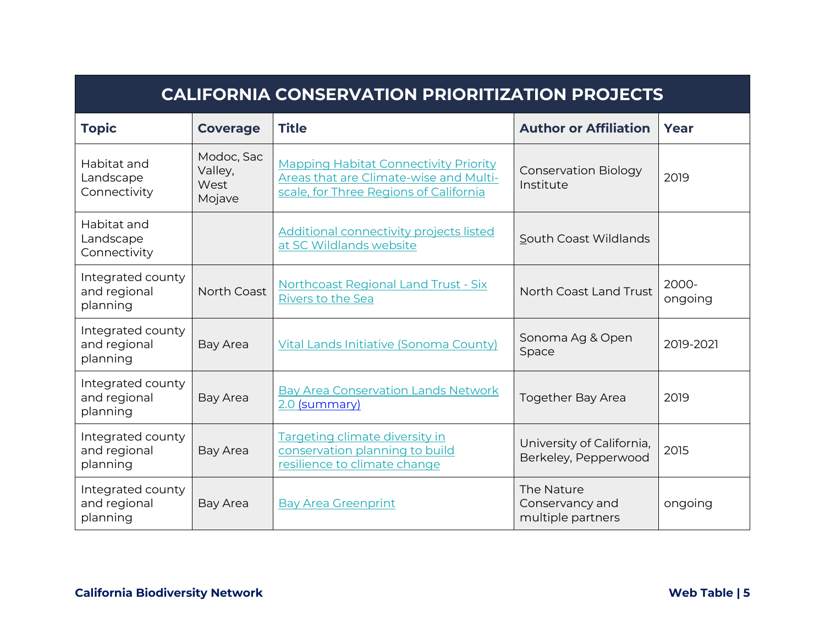| <b>CALIFORNIA CONSERVATION PRIORITIZATION PROJECTS</b> |                                         |                                                                                                                                  |                                                    |                  |
|--------------------------------------------------------|-----------------------------------------|----------------------------------------------------------------------------------------------------------------------------------|----------------------------------------------------|------------------|
| <b>Topic</b>                                           | <b>Coverage</b>                         | <b>Title</b>                                                                                                                     | <b>Author or Affiliation</b>                       | Year             |
| Habitat and<br>Landscape<br>Connectivity               | Modoc, Sac<br>Valley,<br>West<br>Mojave | <b>Mapping Habitat Connectivity Priority</b><br>Areas that are Climate-wise and Multi-<br>scale, for Three Regions of California | <b>Conservation Biology</b><br>Institute           | 2019             |
| Habitat and<br>Landscape<br>Connectivity               |                                         | <b>Additional connectivity projects listed</b><br>at SC Wildlands website                                                        | South Coast Wildlands                              |                  |
| Integrated county<br>and regional<br>planning          | North Coast                             | Northcoast Regional Land Trust - Six<br>Rivers to the Sea                                                                        | North Coast Land Trust                             | 2000-<br>ongoing |
| Integrated county<br>and regional<br>planning          | Bay Area                                | Vital Lands Initiative (Sonoma County)                                                                                           | Sonoma Ag & Open<br>Space                          | 2019-2021        |
| Integrated county<br>and regional<br>planning          | Bay Area                                | <b>Bay Area Conservation Lands Network</b><br>2.0 (summary)                                                                      | <b>Together Bay Area</b>                           | 2019             |
| Integrated county<br>and regional<br>planning          | Bay Area                                | Targeting climate diversity in<br>conservation planning to build<br>resilience to climate change                                 | University of California,<br>Berkeley, Pepperwood  | 2015             |
| Integrated county<br>and regional<br>planning          | Bay Area                                | <b>Bay Area Greenprint</b>                                                                                                       | The Nature<br>Conservancy and<br>multiple partners | ongoing          |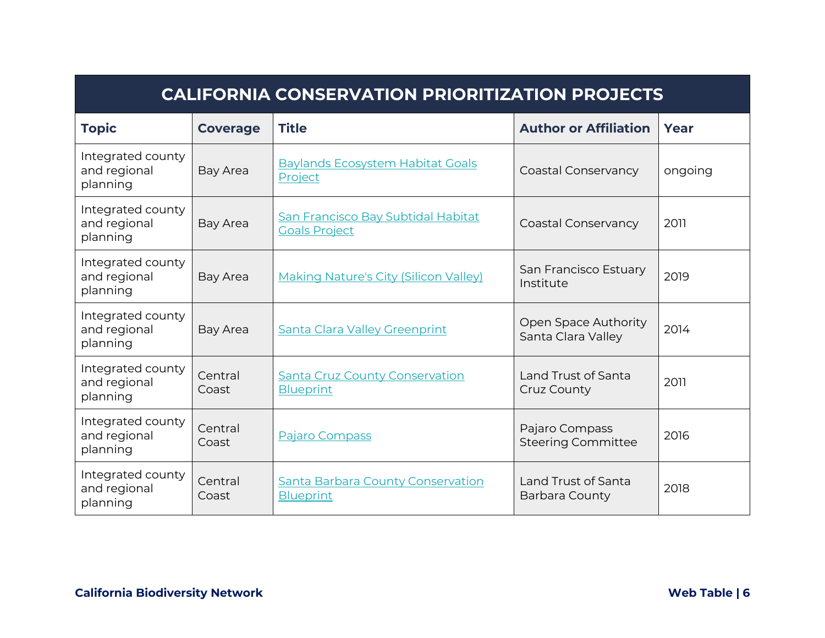| <b>CALIFORNIA CONSERVATION PRIORITIZATION PROJECTS</b> |                  |                                                              |                                              |         |
|--------------------------------------------------------|------------------|--------------------------------------------------------------|----------------------------------------------|---------|
| <b>Topic</b>                                           | <b>Coverage</b>  | <b>Title</b>                                                 | <b>Author or Affiliation</b>                 | Year    |
| Integrated county<br>and regional<br>planning          | Bay Area         | <b>Baylands Ecosystem Habitat Goals</b><br>Project           | Coastal Conservancy                          | ongoing |
| Integrated county<br>and regional<br>planning          | Bay Area         | San Francisco Bay Subtidal Habitat<br><b>Goals Project</b>   | Coastal Conservancy                          | 2011    |
| Integrated county<br>and regional<br>planning          | Bay Area         | <b>Making Nature's City (Silicon Valley)</b>                 | San Francisco Estuary<br>Institute           | 2019    |
| Integrated county<br>and regional<br>planning          | Bay Area         | <b>Santa Clara Valley Greenprint</b>                         | Open Space Authority<br>Santa Clara Valley   | 2014    |
| Integrated county<br>and regional<br>planning          | Central<br>Coast | <b>Santa Cruz County Conservation</b><br><b>Blueprint</b>    | Land Trust of Santa<br><b>Cruz County</b>    | 2011    |
| Integrated county<br>and regional<br>planning          | Central<br>Coast | Pajaro Compass                                               | Pajaro Compass<br><b>Steering Committee</b>  | 2016    |
| Integrated county<br>and regional<br>planning          | Central<br>Coast | <b>Santa Barbara County Conservation</b><br><b>Blueprint</b> | Land Trust of Santa<br><b>Barbara County</b> | 2018    |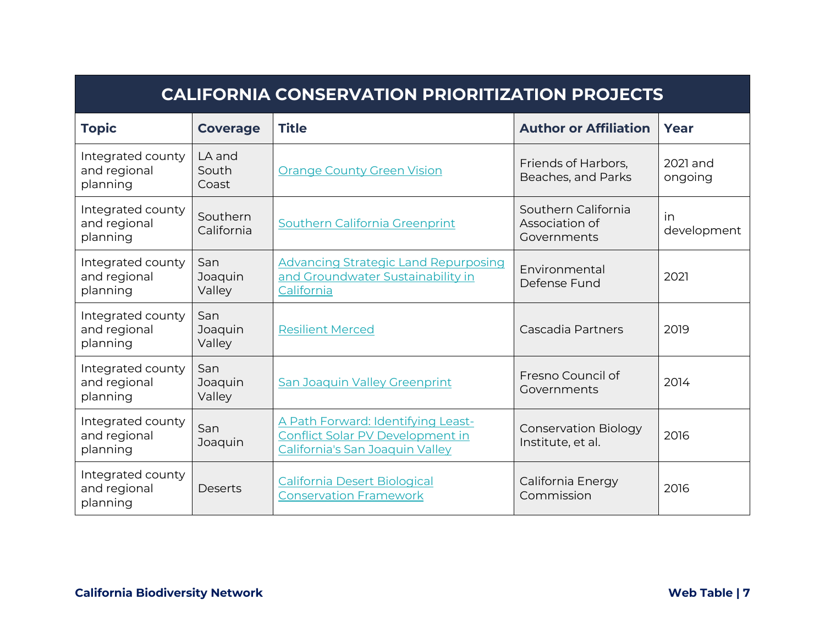| <b>CALIFORNIA CONSERVATION PRIORITIZATION PROJECTS</b> |                          |                                                                                                                  |                                                      |                     |
|--------------------------------------------------------|--------------------------|------------------------------------------------------------------------------------------------------------------|------------------------------------------------------|---------------------|
| <b>Topic</b>                                           | <b>Coverage</b>          | <b>Title</b>                                                                                                     | <b>Author or Affiliation</b>                         | Year                |
| Integrated county<br>and regional<br>planning          | LA and<br>South<br>Coast | <b>Orange County Green Vision</b>                                                                                | Friends of Harbors,<br>Beaches, and Parks            | 2021 and<br>ongoing |
| Integrated county<br>and regional<br>planning          | Southern<br>California   | Southern California Greenprint                                                                                   | Southern California<br>Association of<br>Governments | in<br>development   |
| Integrated county<br>and regional<br>planning          | San<br>Joaquin<br>Valley | <b>Advancing Strategic Land Repurposing</b><br>and Groundwater Sustainability in<br>California                   | Environmental<br>Defense Fund                        | 2021                |
| Integrated county<br>and regional<br>planning          | San<br>Joaquin<br>Valley | <b>Resilient Merced</b>                                                                                          | Cascadia Partners                                    | 2019                |
| Integrated county<br>and regional<br>planning          | San<br>Joaquin<br>Valley | <b>San Joaquin Valley Greenprint</b>                                                                             | Fresno Council of<br>Governments                     | 2014                |
| Integrated county<br>and regional<br>planning          | San<br>Joaquin           | A Path Forward: Identifying Least-<br><b>Conflict Solar PV Development in</b><br>California's San Joaquin Valley | <b>Conservation Biology</b><br>Institute, et al.     | 2016                |
| Integrated county<br>and regional<br>planning          | Deserts                  | <b>California Desert Biological</b><br><b>Conservation Framework</b>                                             | California Energy<br>Commission                      | 2016                |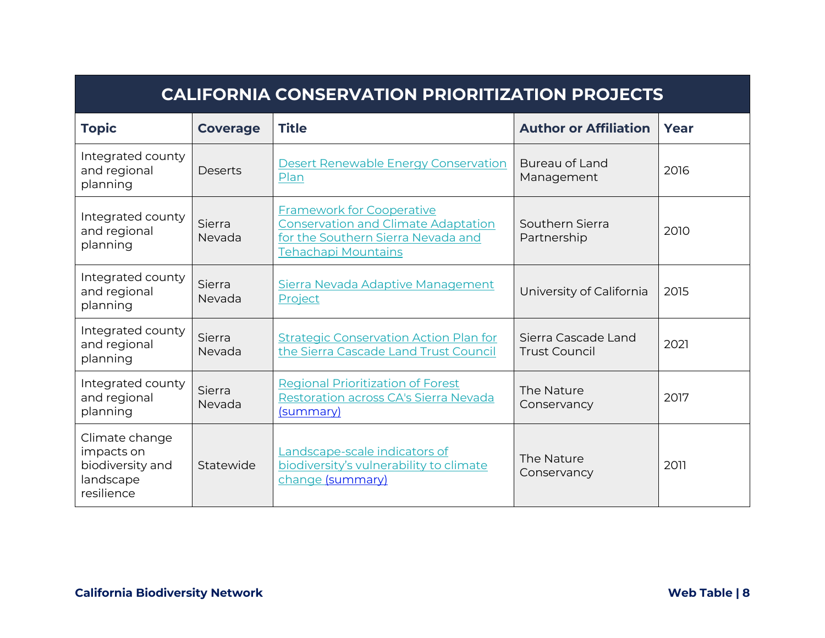| <b>CALIFORNIA CONSERVATION PRIORITIZATION PROJECTS</b>                      |                  |                                                                                                                                             |                                             |      |
|-----------------------------------------------------------------------------|------------------|---------------------------------------------------------------------------------------------------------------------------------------------|---------------------------------------------|------|
| <b>Topic</b>                                                                | <b>Coverage</b>  | <b>Title</b>                                                                                                                                | <b>Author or Affiliation</b>                | Year |
| Integrated county<br>and regional<br>planning                               | <b>Deserts</b>   | <b>Desert Renewable Energy Conservation</b><br>Plan                                                                                         | Bureau of Land<br>Management                | 2016 |
| Integrated county<br>and regional<br>planning                               | Sierra<br>Nevada | <b>Framework for Cooperative</b><br><b>Conservation and Climate Adaptation</b><br>for the Southern Sierra Nevada and<br>Tehachapi Mountains | Southern Sierra<br>Partnership              | 2010 |
| Integrated county<br>and regional<br>planning                               | Sierra<br>Nevada | Sierra Nevada Adaptive Management<br>Project                                                                                                | University of California                    | 2015 |
| Integrated county<br>and regional<br>planning                               | Sierra<br>Nevada | <b>Strategic Conservation Action Plan for</b><br>the Sierra Cascade Land Trust Council                                                      | Sierra Cascade Land<br><b>Trust Council</b> | 2021 |
| Integrated county<br>and regional<br>planning                               | Sierra<br>Nevada | <b>Regional Prioritization of Forest</b><br>Restoration across CA's Sierra Nevada<br>(summary)                                              | The Nature<br>Conservancy                   | 2017 |
| Climate change<br>impacts on<br>biodiversity and<br>landscape<br>resilience | Statewide        | Landscape-scale indicators of<br>biodiversity's vulnerability to climate<br>change (summary)                                                | The Nature<br>Conservancy                   | 2011 |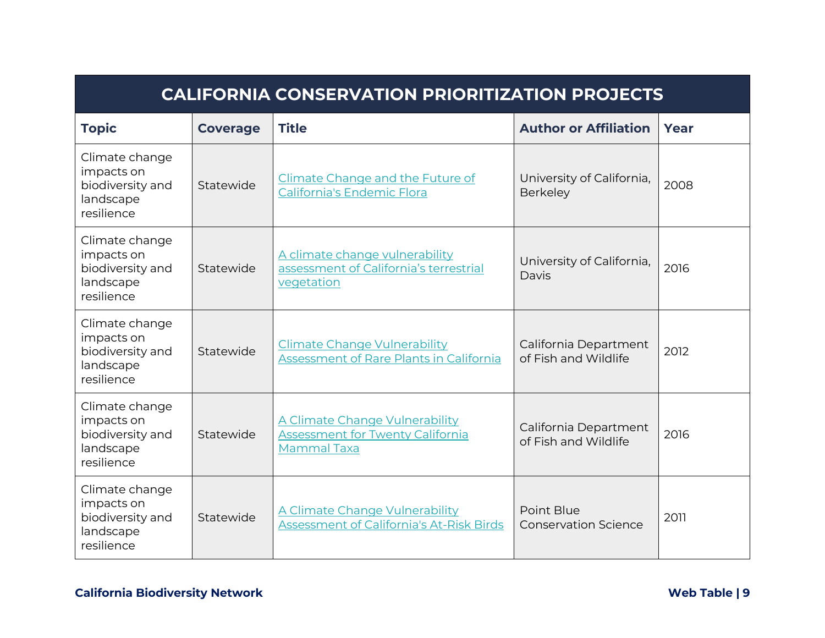| <b>CALIFORNIA CONSERVATION PRIORITIZATION PROJECTS</b>                      |                 |                                                                                                 |                                               |      |
|-----------------------------------------------------------------------------|-----------------|-------------------------------------------------------------------------------------------------|-----------------------------------------------|------|
| <b>Topic</b>                                                                | <b>Coverage</b> | <b>Title</b>                                                                                    | <b>Author or Affiliation</b>                  | Year |
| Climate change<br>impacts on<br>biodiversity and<br>landscape<br>resilience | Statewide       | Climate Change and the Future of<br>California's Endemic Flora                                  | University of California,<br>Berkeley         | 2008 |
| Climate change<br>impacts on<br>biodiversity and<br>landscape<br>resilience | Statewide       | A climate change vulnerability<br>assessment of California's terrestrial<br>vegetation          | University of California,<br>Davis            | 2016 |
| Climate change<br>impacts on<br>biodiversity and<br>landscape<br>resilience | Statewide       | <b>Climate Change Vulnerability</b><br>Assessment of Rare Plants in California                  | California Department<br>of Fish and Wildlife | 2012 |
| Climate change<br>impacts on<br>biodiversity and<br>landscape<br>resilience | Statewide       | A Climate Change Vulnerability<br><b>Assessment for Twenty California</b><br><b>Mammal Taxa</b> | California Department<br>of Fish and Wildlife | 2016 |
| Climate change<br>impacts on<br>biodiversity and<br>landscape<br>resilience | Statewide       | A Climate Change Vulnerability<br>Assessment of California's At-Risk Birds                      | Point Blue<br><b>Conservation Science</b>     | 2011 |